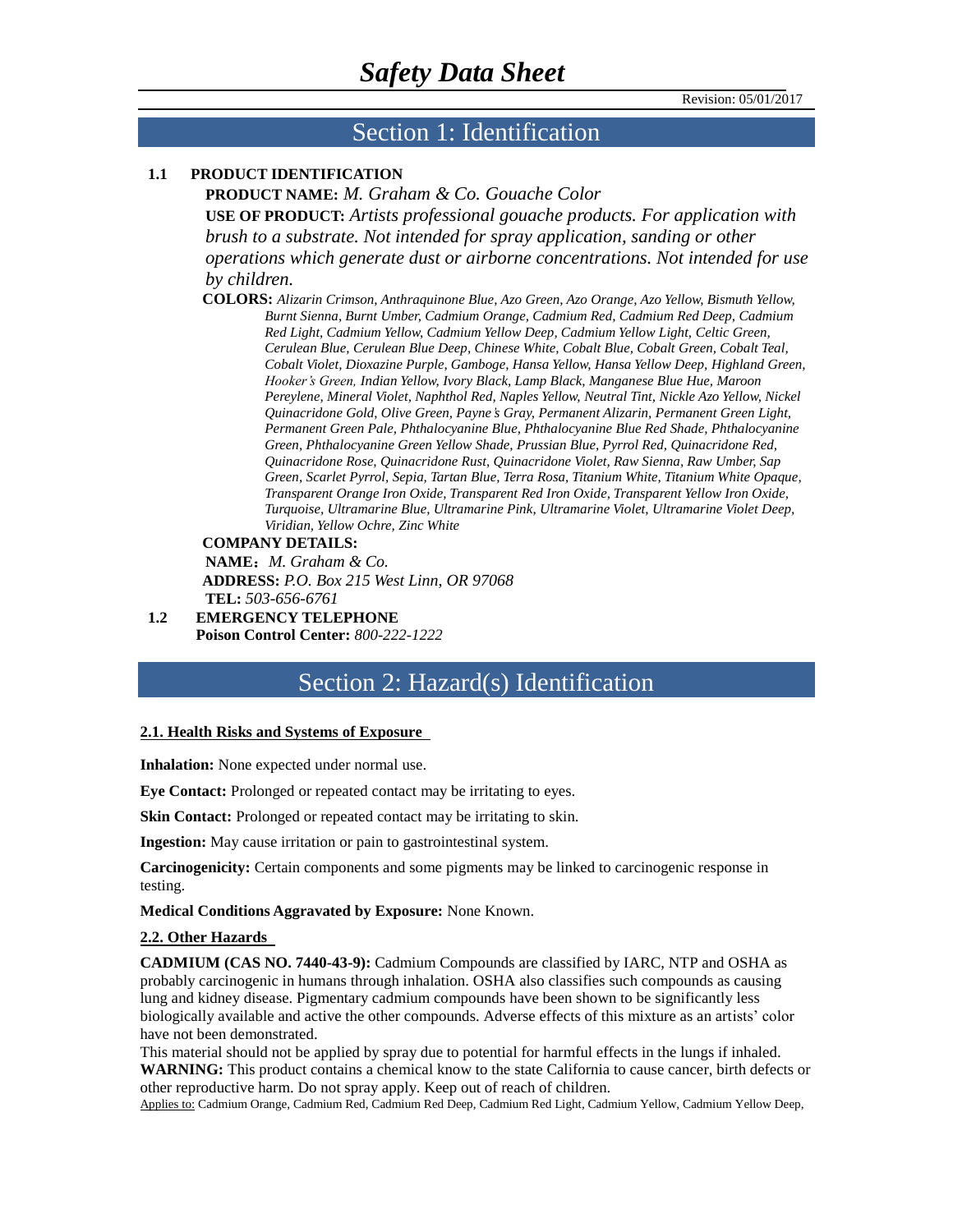#### Section 1: Identification

#### **1.1 PRODUCT IDENTIFICATION**

**PRODUCT NAME:** *M. Graham & Co. Gouache Color* **USE OF PRODUCT:** *Artists professional gouache products. For application with brush to a substrate. Not intended for spray application, sanding or other operations which generate dust or airborne concentrations. Not intended for use by children.*

**COLORS:** *Alizarin Crimson, Anthraquinone Blue, Azo Green, Azo Orange, Azo Yellow, Bismuth Yellow, Burnt Sienna, Burnt Umber, Cadmium Orange, Cadmium Red, Cadmium Red Deep, Cadmium Red Light, Cadmium Yellow, Cadmium Yellow Deep, Cadmium Yellow Light, Celtic Green, Cerulean Blue, Cerulean Blue Deep, Chinese White, Cobalt Blue, Cobalt Green, Cobalt Teal, Cobalt Violet, Dioxazine Purple, Gamboge, Hansa Yellow, Hansa Yellow Deep, Highland Green, Hooker's Green, Indian Yellow, Ivory Black, Lamp Black, Manganese Blue Hue, Maroon Pereylene, Mineral Violet, Naphthol Red, Naples Yellow, Neutral Tint, Nickle Azo Yellow, Nickel Quinacridone Gold, Olive Green, Payne's Gray, Permanent Alizarin, Permanent Green Light, Permanent Green Pale, Phthalocyanine Blue, Phthalocyanine Blue Red Shade, Phthalocyanine Green, Phthalocyanine Green Yellow Shade, Prussian Blue, Pyrrol Red, Quinacridone Red, Quinacridone Rose, Quinacridone Rust, Quinacridone Violet, Raw Sienna, Raw Umber, Sap Green, Scarlet Pyrrol, Sepia, Tartan Blue, Terra Rosa, Titanium White, Titanium White Opaque, Transparent Orange Iron Oxide, Transparent Red Iron Oxide, Transparent Yellow Iron Oxide, Turquoise, Ultramarine Blue, Ultramarine Pink, Ultramarine Violet, Ultramarine Violet Deep, Viridian, Yellow Ochre, Zinc White* 

#### **COMPANY DETAILS:**

**NAME**:*M. Graham & Co.* **ADDRESS:** *P.O. Box 215 West Linn, OR 97068* **TEL:** *503-656-6761*

**1.2 EMERGENCY TELEPHONE Poison Control Center:** *800-222-1222*

#### Section 2: Hazard(s) Identification

#### **2.1. Health Risks and Systems of Exposure**

**Inhalation:** None expected under normal use.

**Eye Contact:** Prolonged or repeated contact may be irritating to eyes.

**Skin Contact:** Prolonged or repeated contact may be irritating to skin.

**Ingestion:** May cause irritation or pain to gastrointestinal system.

**Carcinogenicity:** Certain components and some pigments may be linked to carcinogenic response in testing.

**Medical Conditions Aggravated by Exposure:** None Known.

#### **2.2. Other Hazards**

**CADMIUM (CAS NO. 7440-43-9):** Cadmium Compounds are classified by IARC, NTP and OSHA as probably carcinogenic in humans through inhalation. OSHA also classifies such compounds as causing lung and kidney disease. Pigmentary cadmium compounds have been shown to be significantly less biologically available and active the other compounds. Adverse effects of this mixture as an artists' color have not been demonstrated.

This material should not be applied by spray due to potential for harmful effects in the lungs if inhaled. **WARNING:** This product contains a chemical know to the state California to cause cancer, birth defects or other reproductive harm. Do not spray apply. Keep out of reach of children.

Applies to: Cadmium Orange, Cadmium Red, Cadmium Red Deep, Cadmium Red Light, Cadmium Yellow, Cadmium Yellow Deep,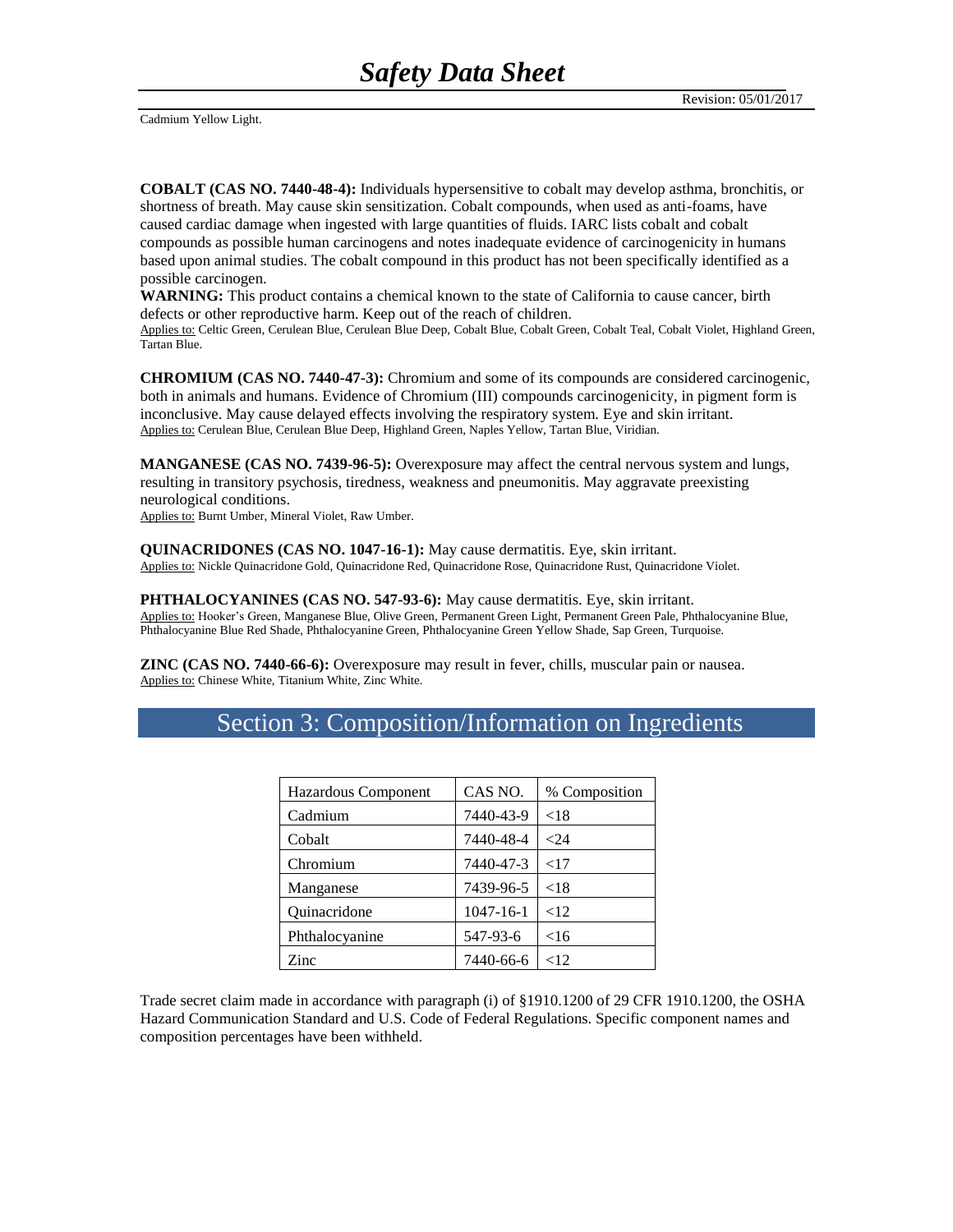Cadmium Yellow Light.

**COBALT (CAS NO. 7440-48-4):** Individuals hypersensitive to cobalt may develop asthma, bronchitis, or shortness of breath. May cause skin sensitization. Cobalt compounds, when used as anti-foams, have caused cardiac damage when ingested with large quantities of fluids. IARC lists cobalt and cobalt compounds as possible human carcinogens and notes inadequate evidence of carcinogenicity in humans based upon animal studies. The cobalt compound in this product has not been specifically identified as a possible carcinogen.

**WARNING:** This product contains a chemical known to the state of California to cause cancer, birth defects or other reproductive harm. Keep out of the reach of children.

Applies to: Celtic Green, Cerulean Blue, Cerulean Blue Deep, Cobalt Blue, Cobalt Green, Cobalt Teal, Cobalt Violet, Highland Green, Tartan Blue.

**CHROMIUM (CAS NO. 7440-47-3):** Chromium and some of its compounds are considered carcinogenic, both in animals and humans. Evidence of Chromium (III) compounds carcinogenicity, in pigment form is inconclusive. May cause delayed effects involving the respiratory system. Eye and skin irritant. Applies to: Cerulean Blue, Cerulean Blue Deep, Highland Green, Naples Yellow, Tartan Blue, Viridian.

**MANGANESE (CAS NO. 7439-96-5):** Overexposure may affect the central nervous system and lungs, resulting in transitory psychosis, tiredness, weakness and pneumonitis. May aggravate preexisting neurological conditions.

Applies to: Burnt Umber, Mineral Violet, Raw Umber.

**QUINACRIDONES (CAS NO. 1047-16-1):** May cause dermatitis. Eye, skin irritant. Applies to: Nickle Quinacridone Gold, Quinacridone Red, Quinacridone Rose, Quinacridone Rust, Quinacridone Violet.

**PHTHALOCYANINES (CAS NO. 547-93-6):** May cause dermatitis. Eye, skin irritant. Applies to: Hooker's Green, Manganese Blue, Olive Green, Permanent Green Light, Permanent Green Pale, Phthalocyanine Blue, Phthalocyanine Blue Red Shade, Phthalocyanine Green, Phthalocyanine Green Yellow Shade, Sap Green, Turquoise.

**ZINC (CAS NO. 7440-66-6):** Overexposure may result in fever, chills, muscular pain or nausea. Applies to: Chinese White, Titanium White, Zinc White.

| Hazardous Component | CAS NO.         | % Composition |
|---------------------|-----------------|---------------|
| Cadmium             | 7440-43-9       | ${<}18$       |
| Cobalt              | 7440-48-4       | < 2.4         |
| Chromium            | 7440-47-3       | <17           |
| Manganese           | 7439-96-5       | ${<}18$       |
| Quinacridone        | $1047 - 16 - 1$ | <12           |
| Phthalocyanine      | 547-93-6        | <16           |
| Zinc                | 7440-66-6       | ${<}12$       |

### Section 3: Composition/Information on Ingredients

Trade secret claim made in accordance with paragraph (i) of §1910.1200 of 29 CFR 1910.1200, the OSHA Hazard Communication Standard and U.S. Code of Federal Regulations. Specific component names and composition percentages have been withheld.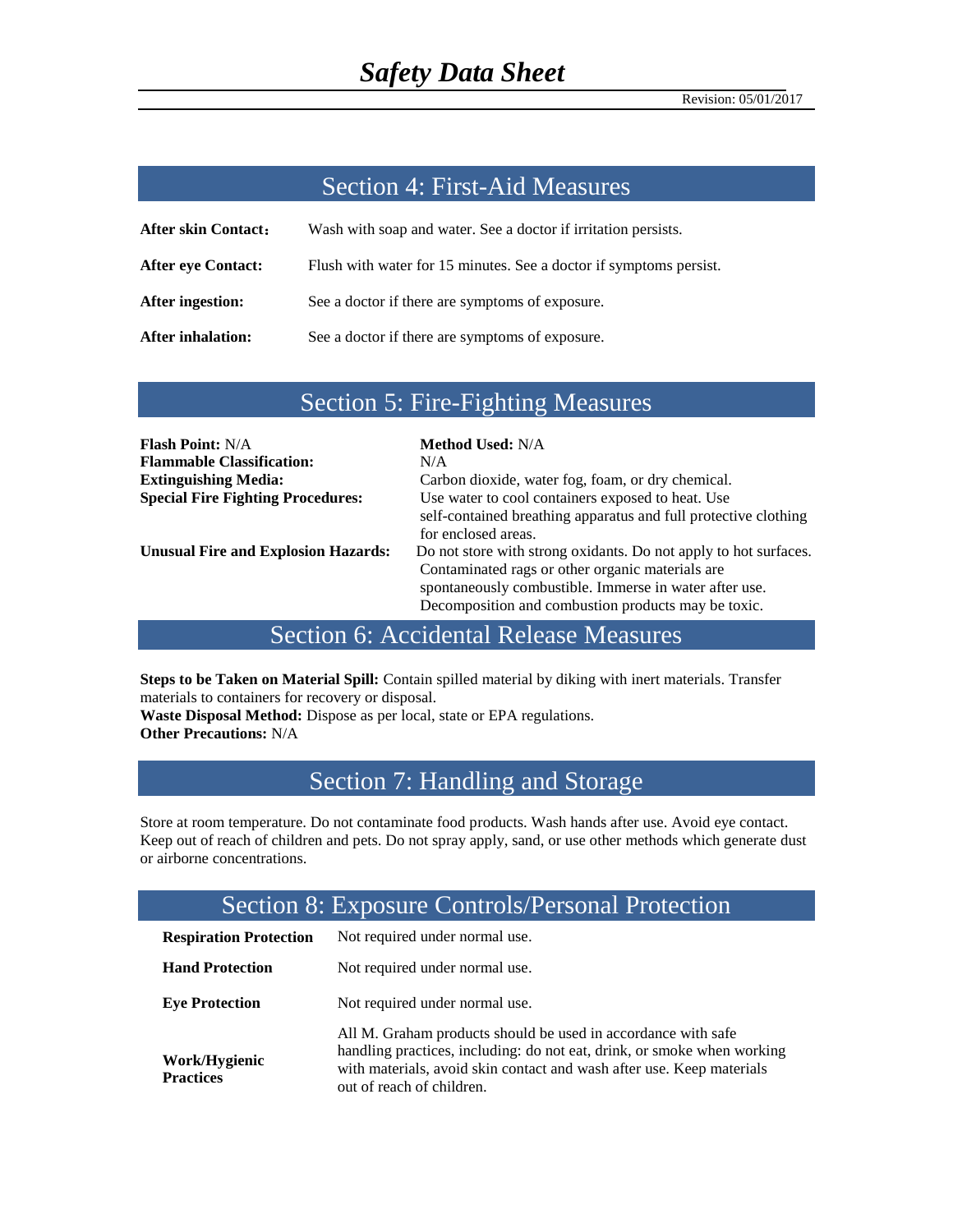### Section 4: First-Aid Measures

| <b>After skin Contact:</b> | Wash with soap and water. See a doctor if irritation persists.     |
|----------------------------|--------------------------------------------------------------------|
| <b>After eye Contact:</b>  | Flush with water for 15 minutes. See a doctor if symptoms persist. |
| After ingestion:           | See a doctor if there are symptoms of exposure.                    |
| <b>After inhalation:</b>   | See a doctor if there are symptoms of exposure.                    |

### Section 5: Fire-Fighting Measures

| <b>Flash Point: N/A</b>                    | <b>Method Used: N/A</b>                                          |
|--------------------------------------------|------------------------------------------------------------------|
| <b>Flammable Classification:</b>           | N/A                                                              |
| <b>Extinguishing Media:</b>                | Carbon dioxide, water fog, foam, or dry chemical.                |
| <b>Special Fire Fighting Procedures:</b>   | Use water to cool containers exposed to heat. Use                |
|                                            | self-contained breathing apparatus and full protective clothing  |
|                                            | for enclosed areas.                                              |
| <b>Unusual Fire and Explosion Hazards:</b> | Do not store with strong oxidants. Do not apply to hot surfaces. |
|                                            | Contaminated rags or other organic materials are                 |
|                                            | spontaneously combustible. Immerse in water after use.           |
|                                            | Decomposition and combustion products may be toxic.              |

## Section 6: Accidental Release Measures

**Steps to be Taken on Material Spill:** Contain spilled material by diking with inert materials. Transfer materials to containers for recovery or disposal.

**Waste Disposal Method:** Dispose as per local, state or EPA regulations. **Other Precautions:** N/A

## Section 7: Handling and Storage

Store at room temperature. Do not contaminate food products. Wash hands after use. Avoid eye contact. Keep out of reach of children and pets. Do not spray apply, sand, or use other methods which generate dust or airborne concentrations.

## Section 8: Exposure Controls/Personal Protection

| <b>Respiration Protection</b>     | Not required under normal use.                                                                                                                                                                                                                 |
|-----------------------------------|------------------------------------------------------------------------------------------------------------------------------------------------------------------------------------------------------------------------------------------------|
| <b>Hand Protection</b>            | Not required under normal use.                                                                                                                                                                                                                 |
| <b>Eye Protection</b>             | Not required under normal use.                                                                                                                                                                                                                 |
| Work/Hygienic<br><b>Practices</b> | All M. Graham products should be used in accordance with safe<br>handling practices, including: do not eat, drink, or smoke when working<br>with materials, avoid skin contact and wash after use. Keep materials<br>out of reach of children. |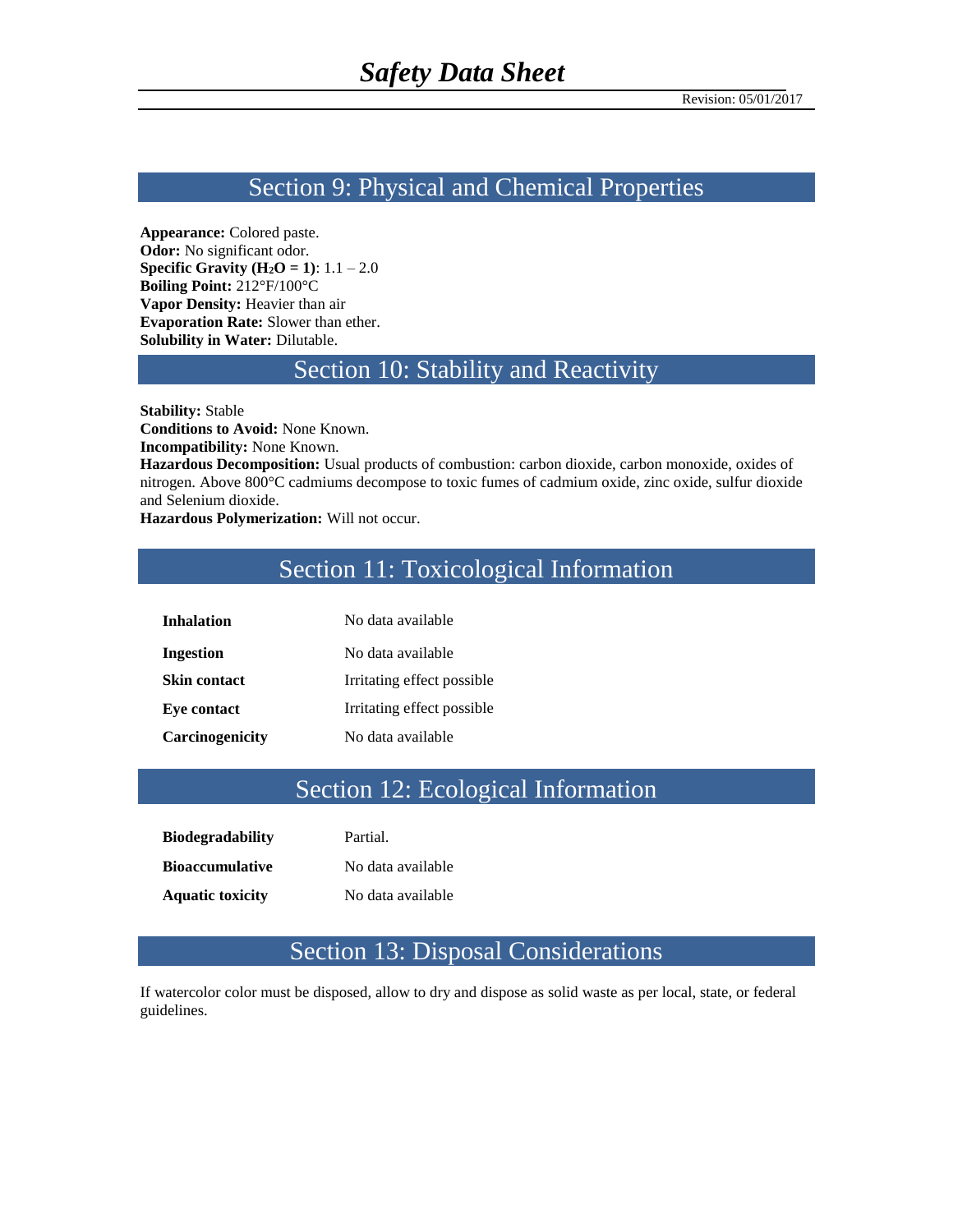#### Section 9: Physical and Chemical Properties

**Appearance:** Colored paste. **Odor:** No significant odor. **Specific Gravity (H<sub>2</sub>O = 1):**  $1.1 - 2.0$ **Boiling Point:** 212°F/100°C **Vapor Density:** Heavier than air **Evaporation Rate:** Slower than ether. **Solubility in Water:** Dilutable.

### Section 10: Stability and Reactivity

**Stability:** Stable

**Conditions to Avoid:** None Known.

**Incompatibility:** None Known.

**Hazardous Decomposition:** Usual products of combustion: carbon dioxide, carbon monoxide, oxides of nitrogen. Above 800°C cadmiums decompose to toxic fumes of cadmium oxide, zinc oxide, sulfur dioxide and Selenium dioxide.

**Hazardous Polymerization:** Will not occur.

# Section 11: Toxicological Information

| <b>Inhalation</b>   | No data available          |
|---------------------|----------------------------|
| Ingestion           | No data available          |
| <b>Skin contact</b> | Irritating effect possible |
| Eye contact         | Irritating effect possible |
| Carcinogenicity     | No data available          |

## Section 12: Ecological Information

| <b>Biodegradability</b> | Partial.          |
|-------------------------|-------------------|
| <b>Bioaccumulative</b>  | No data available |
| <b>Aquatic toxicity</b> | No data available |

### Section 13: Disposal Considerations

If watercolor color must be disposed, allow to dry and dispose as solid waste as per local, state, or federal guidelines.